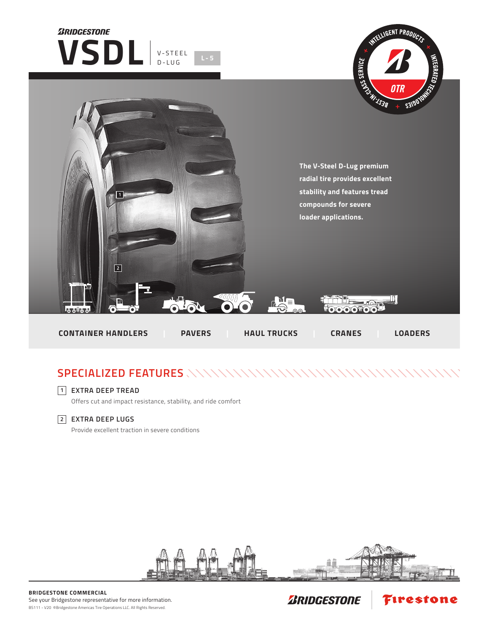

## **SPECIALIZED FEATURES**

## **EXTRA DEEP TREAD 1**

Offers cut and impact resistance, stability, and ride comfort

## **EXTRA DEEP LUGS 2**

Provide excellent traction in severe conditions



**ZRIDGESTONE** 

Firestone